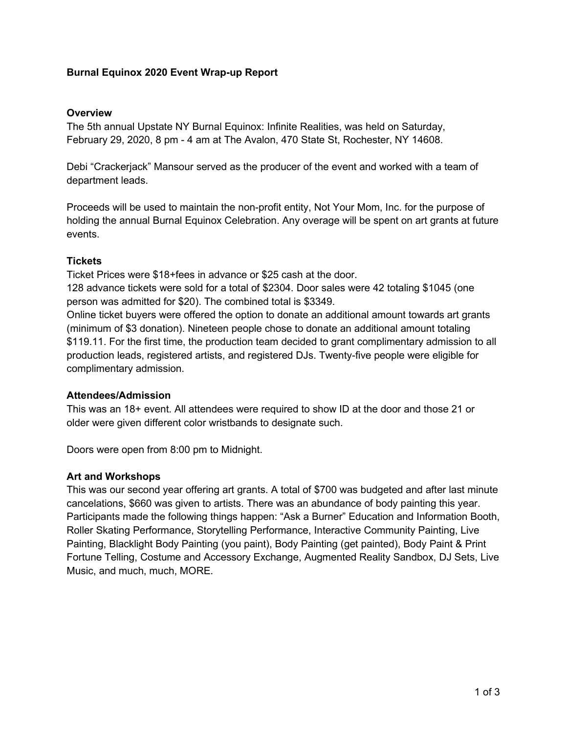### **Burnal Equinox 2020 Event Wrap-up Report**

#### **Overview**

The 5th annual Upstate NY Burnal Equinox: Infinite Realities, was held on Saturday, February 29, 2020, 8 pm - 4 am at The Avalon, 470 State St, Rochester, NY 14608.

Debi "Crackerjack" Mansour served as the producer of the event and worked with a team of department leads.

Proceeds will be used to maintain the non-profit entity, Not Your Mom, Inc. for the purpose of holding the annual Burnal Equinox Celebration. Any overage will be spent on art grants at future events.

#### **Tickets**

Ticket Prices were \$18+fees in advance or \$25 cash at the door.

128 advance tickets were sold for a total of \$2304. Door sales were 42 totaling \$1045 (one person was admitted for \$20). The combined total is \$3349.

Online ticket buyers were offered the option to donate an additional amount towards art grants (minimum of \$3 donation). Nineteen people chose to donate an additional amount totaling \$119.11. For the first time, the production team decided to grant complimentary admission to all production leads, registered artists, and registered DJs. Twenty-five people were eligible for complimentary admission.

#### **Attendees/Admission**

This was an 18+ event. All attendees were required to show ID at the door and those 21 or older were given different color wristbands to designate such.

Doors were open from 8:00 pm to Midnight.

#### **Art and Workshops**

This was our second year offering art grants. A total of \$700 was budgeted and after last minute cancelations, \$660 was given to artists. There was an abundance of body painting this year. Participants made the following things happen: "Ask a Burner" Education and Information Booth, Roller Skating Performance, Storytelling Performance, Interactive Community Painting, Live Painting, Blacklight Body Painting (you paint), Body Painting (get painted), Body Paint & Print Fortune Telling, Costume and Accessory Exchange, Augmented Reality Sandbox, DJ Sets, Live Music, and much, much, MORE.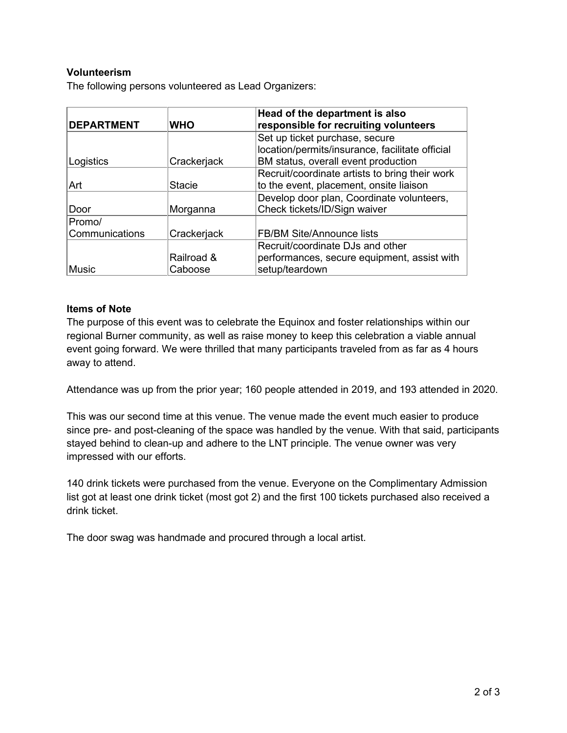## **Volunteerism**

The following persons volunteered as Lead Organizers:

| <b>DEPARTMENT</b> | <b>WHO</b>    | Head of the department is also<br>responsible for recruiting volunteers |  |
|-------------------|---------------|-------------------------------------------------------------------------|--|
|                   |               | Set up ticket purchase, secure                                          |  |
|                   |               | location/permits/insurance, facilitate official                         |  |
| Logistics         | Crackerjack   | BM status, overall event production                                     |  |
|                   |               | Recruit/coordinate artists to bring their work                          |  |
| Art               | <b>Stacie</b> | to the event, placement, onsite liaison                                 |  |
|                   |               | Develop door plan, Coordinate volunteers,                               |  |
| Door              | Morganna      | Check tickets/ID/Sign waiver                                            |  |
| Promo/            |               |                                                                         |  |
| Communications    | Crackerjack   | <b>FB/BM Site/Announce lists</b>                                        |  |
|                   |               | Recruit/coordinate DJs and other                                        |  |
|                   | Railroad &    | performances, secure equipment, assist with                             |  |
| Music             | Caboose       | setup/teardown                                                          |  |

#### **Items of Note**

The purpose of this event was to celebrate the Equinox and foster relationships within our regional Burner community, as well as raise money to keep this celebration a viable annual event going forward. We were thrilled that many participants traveled from as far as 4 hours away to attend.

Attendance was up from the prior year; 160 people attended in 2019, and 193 attended in 2020.

This was our second time at this venue. The venue made the event much easier to produce since pre- and post-cleaning of the space was handled by the venue. With that said, participants stayed behind to clean-up and adhere to the LNT principle. The venue owner was very impressed with our efforts.

140 drink tickets were purchased from the venue. Everyone on the Complimentary Admission list got at least one drink ticket (most got 2) and the first 100 tickets purchased also received a drink ticket.

The door swag was handmade and procured through a local artist.